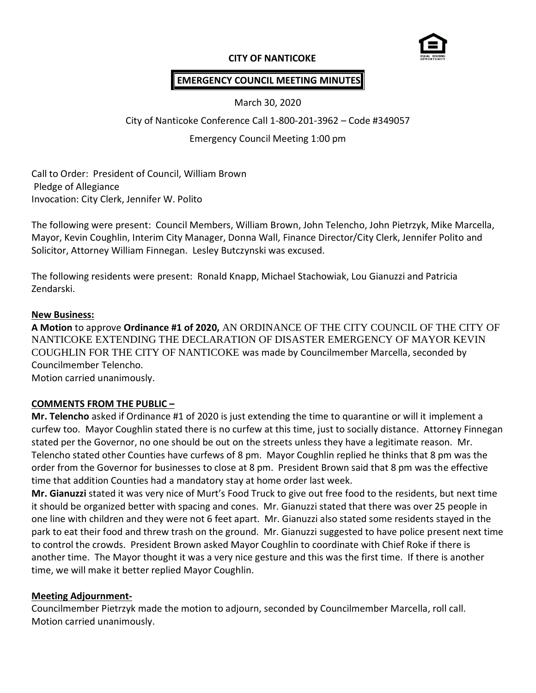

### **CITY OF NANTICOKE**

# **EMERGENCY COUNCIL MEETING MINUTES**

March 30, 2020

City of Nanticoke Conference Call 1-800-201-3962 – Code #349057

Emergency Council Meeting 1:00 pm

Call to Order: President of Council, William Brown Pledge of Allegiance Invocation: City Clerk, Jennifer W. Polito

The following were present: Council Members, William Brown, John Telencho, John Pietrzyk, Mike Marcella, Mayor, Kevin Coughlin, Interim City Manager, Donna Wall, Finance Director/City Clerk, Jennifer Polito and Solicitor, Attorney William Finnegan. Lesley Butczynski was excused.

The following residents were present: Ronald Knapp, Michael Stachowiak, Lou Gianuzzi and Patricia Zendarski.

#### **New Business:**

**A Motion** to approve **Ordinance #1 of 2020,** AN ORDINANCE OF THE CITY COUNCIL OF THE CITY OF NANTICOKE EXTENDING THE DECLARATION OF DISASTER EMERGENCY OF MAYOR KEVIN COUGHLIN FOR THE CITY OF NANTICOKE was made by Councilmember Marcella, seconded by Councilmember Telencho. Motion carried unanimously.

## **COMMENTS FROM THE PUBLIC –**

**Mr. Telencho** asked if Ordinance #1 of 2020 is just extending the time to quarantine or will it implement a curfew too. Mayor Coughlin stated there is no curfew at this time, just to socially distance. Attorney Finnegan stated per the Governor, no one should be out on the streets unless they have a legitimate reason. Mr. Telencho stated other Counties have curfews of 8 pm. Mayor Coughlin replied he thinks that 8 pm was the order from the Governor for businesses to close at 8 pm. President Brown said that 8 pm was the effective time that addition Counties had a mandatory stay at home order last week.

**Mr. Gianuzzi** stated it was very nice of Murt's Food Truck to give out free food to the residents, but next time it should be organized better with spacing and cones. Mr. Gianuzzi stated that there was over 25 people in one line with children and they were not 6 feet apart. Mr. Gianuzzi also stated some residents stayed in the park to eat their food and threw trash on the ground. Mr. Gianuzzi suggested to have police present next time to control the crowds. President Brown asked Mayor Coughlin to coordinate with Chief Roke if there is another time. The Mayor thought it was a very nice gesture and this was the first time. If there is another time, we will make it better replied Mayor Coughlin.

#### **Meeting Adjournment-**

Councilmember Pietrzyk made the motion to adjourn, seconded by Councilmember Marcella, roll call. Motion carried unanimously.